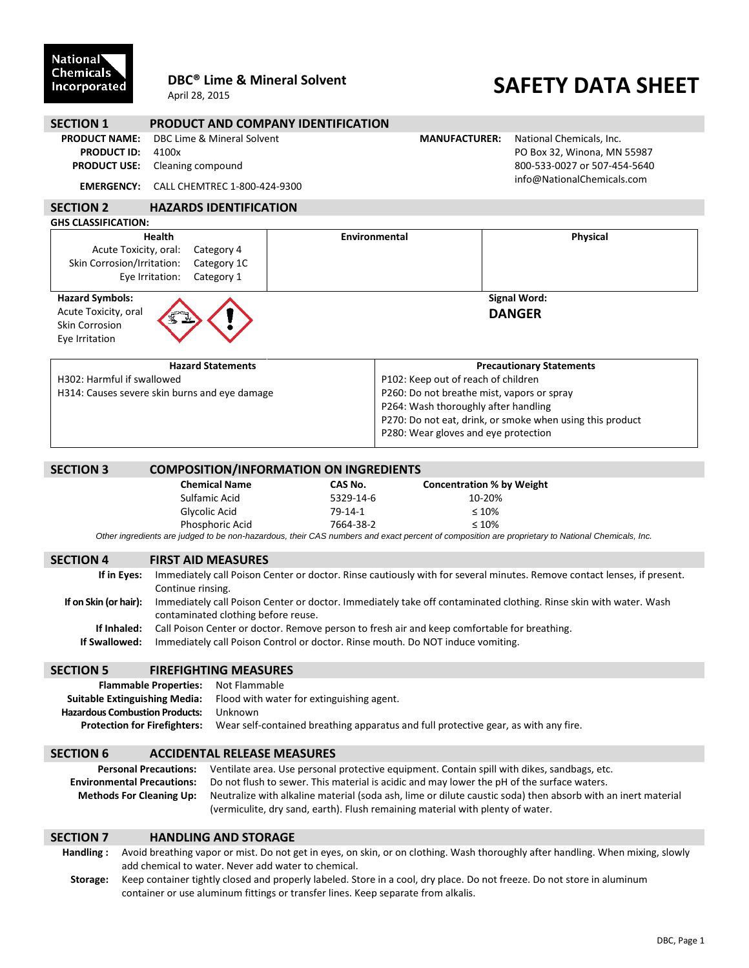### National<sup>1</sup> **Chemicals** Incorporated

## **DBC® Lime & Mineral Solvent**

April 28, 2015

# **SAFETY DATA SHEET**

| <b>SECTION 1</b>                                                                                                                   | <b>PRODUCT AND COMPANY IDENTIFICATION</b>                                                                               |                            |                                                                                                                 |                                                                                                                                                  |  |  |
|------------------------------------------------------------------------------------------------------------------------------------|-------------------------------------------------------------------------------------------------------------------------|----------------------------|-----------------------------------------------------------------------------------------------------------------|--------------------------------------------------------------------------------------------------------------------------------------------------|--|--|
| <b>PRODUCT NAME:</b><br><b>PRODUCT ID:</b><br><b>PRODUCT USE:</b>                                                                  | DBC Lime & Mineral Solvent<br>4100x<br>Cleaning compound                                                                |                            | <b>MANUFACTURER:</b><br>National Chemicals, Inc.<br>PO Box 32, Winona, MN 55987<br>800-533-0027 or 507-454-5640 |                                                                                                                                                  |  |  |
| <b>EMERGENCY:</b>                                                                                                                  | CALL CHEMTREC 1-800-424-9300                                                                                            | info@NationalChemicals.com |                                                                                                                 |                                                                                                                                                  |  |  |
| <b>SECTION 2</b>                                                                                                                   | <b>HAZARDS IDENTIFICATION</b>                                                                                           |                            |                                                                                                                 |                                                                                                                                                  |  |  |
| <b>GHS CLASSIFICATION:</b>                                                                                                         |                                                                                                                         |                            |                                                                                                                 |                                                                                                                                                  |  |  |
| <b>Health</b><br>Acute Toxicity, oral:<br>Category 4<br>Skin Corrosion/Irritation:<br>Category 1C<br>Eye Irritation:<br>Category 1 |                                                                                                                         | Environmental              |                                                                                                                 | <b>Physical</b>                                                                                                                                  |  |  |
| <b>Hazard Symbols:</b><br>Acute Toxicity, oral<br><b>Skin Corrosion</b><br>Eye Irritation                                          |                                                                                                                         |                            | <b>Signal Word:</b><br><b>DANGER</b>                                                                            |                                                                                                                                                  |  |  |
| <b>Hazard Statements</b>                                                                                                           |                                                                                                                         |                            | <b>Precautionary Statements</b>                                                                                 |                                                                                                                                                  |  |  |
| H302: Harmful if swallowed                                                                                                         |                                                                                                                         |                            | P102: Keep out of reach of children                                                                             |                                                                                                                                                  |  |  |
| H314: Causes severe skin burns and eye damage                                                                                      |                                                                                                                         |                            | P260: Do not breathe mist, vapors or spray<br>P264: Wash thoroughly after handling                              |                                                                                                                                                  |  |  |
|                                                                                                                                    |                                                                                                                         |                            | P270: Do not eat, drink, or smoke when using this product                                                       |                                                                                                                                                  |  |  |
|                                                                                                                                    |                                                                                                                         |                            | P280: Wear gloves and eye protection                                                                            |                                                                                                                                                  |  |  |
| <b>SECTION 3</b>                                                                                                                   | <b>COMPOSITION/INFORMATION ON INGREDIENTS</b>                                                                           |                            |                                                                                                                 |                                                                                                                                                  |  |  |
|                                                                                                                                    | <b>Chemical Name</b>                                                                                                    | CAS No.                    | <b>Concentration % by Weight</b>                                                                                |                                                                                                                                                  |  |  |
|                                                                                                                                    | Sulfamic Acid                                                                                                           | 5329-14-6                  | 10-20%                                                                                                          |                                                                                                                                                  |  |  |
|                                                                                                                                    | Glycolic Acid                                                                                                           | $79-14-1$                  | $\leq 10\%$                                                                                                     |                                                                                                                                                  |  |  |
|                                                                                                                                    | Phosphoric Acid                                                                                                         | 7664-38-2                  | $\leq 10\%$                                                                                                     |                                                                                                                                                  |  |  |
|                                                                                                                                    |                                                                                                                         |                            |                                                                                                                 | Other ingredients are judged to be non-hazardous, their CAS numbers and exact percent of composition are proprietary to National Chemicals, Inc. |  |  |
| <b>SECTION 4</b>                                                                                                                   | <b>FIRST AID MEASURES</b>                                                                                               |                            |                                                                                                                 |                                                                                                                                                  |  |  |
| If in Eyes:                                                                                                                        | Immediately call Poison Center or doctor. Rinse cautiously with for several minutes. Remove contact lenses, if present. |                            |                                                                                                                 |                                                                                                                                                  |  |  |
|                                                                                                                                    | Continue rinsing.                                                                                                       |                            |                                                                                                                 |                                                                                                                                                  |  |  |
| If on Skin (or hair):                                                                                                              | contaminated clothing before reuse.                                                                                     |                            |                                                                                                                 | Immediately call Poison Center or doctor. Immediately take off contaminated clothing. Rinse skin with water. Wash                                |  |  |

#### **SECTION 5 FIREFIGHTING MEASURES**

| <b>Flammable Properties:</b> Not Flammable |                                                                                     |
|--------------------------------------------|-------------------------------------------------------------------------------------|
|                                            | <b>Suitable Extinguishing Media:</b> Flood with water for extinguishing agent.      |
| <b>Hazardous Combustion Products:</b>      | Unknown                                                                             |
| <b>Protection for Firefighters:</b>        | Wear self-contained breathing apparatus and full protective gear, as with any fire. |

**If Inhaled:** Call Poison Center or doctor. Remove person to fresh air and keep comfortable for breathing.

**If Swallowed:** Immediately call Poison Control or doctor. Rinse mouth. Do NOT induce vomiting.

#### **SECTION 6 ACCIDENTAL RELEASE MEASURES**

| <b>Personal Precautions:</b>      | Ventilate area. Use personal protective equipment. Contain spill with dikes, sandbags, etc.                  |  |
|-----------------------------------|--------------------------------------------------------------------------------------------------------------|--|
| <b>Environmental Precautions:</b> | Do not flush to sewer. This material is acidic and may lower the pH of the surface waters.                   |  |
| <b>Methods For Cleaning Up:</b>   | Neutralize with alkaline material (soda ash, lime or dilute caustic soda) then absorb with an inert material |  |
|                                   | (vermiculite, dry sand, earth). Flush remaining material with plenty of water.                               |  |

#### **SECTION 7 HANDLING AND STORAGE**

**Handling :** Avoid breathing vapor or mist. Do not get in eyes, on skin, or on clothing. Wash thoroughly after handling. When mixing, slowly add chemical to water. Never add water to chemical.

**Storage:** Keep container tightly closed and properly labeled. Store in a cool, dry place. Do not freeze. Do not store in aluminum container or use aluminum fittings or transfer lines. Keep separate from alkalis.